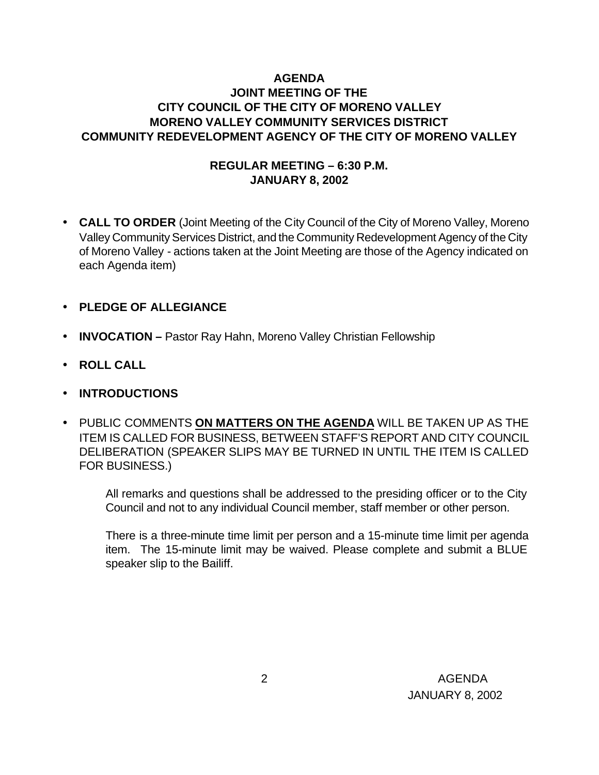### **AGENDA JOINT MEETING OF THE CITY COUNCIL OF THE CITY OF MORENO VALLEY MORENO VALLEY COMMUNITY SERVICES DISTRICT COMMUNITY REDEVELOPMENT AGENCY OF THE CITY OF MORENO VALLEY**

### **REGULAR MEETING – 6:30 P.M. JANUARY 8, 2002**

- **CALL TO ORDER** (Joint Meeting of the City Council of the City of Moreno Valley, Moreno Valley Community Services District, and the Community Redevelopment Agency of the City of Moreno Valley - actions taken at the Joint Meeting are those of the Agency indicated on each Agenda item)
- **PLEDGE OF ALLEGIANCE**
- **INVOCATION –** Pastor Ray Hahn, Moreno Valley Christian Fellowship
- **ROLL CALL**
- **INTRODUCTIONS**
- PUBLIC COMMENTS **ON MATTERS ON THE AGENDA** WILL BE TAKEN UP AS THE ITEM IS CALLED FOR BUSINESS, BETWEEN STAFF'S REPORT AND CITY COUNCIL DELIBERATION (SPEAKER SLIPS MAY BE TURNED IN UNTIL THE ITEM IS CALLED FOR BUSINESS.)

All remarks and questions shall be addressed to the presiding officer or to the City Council and not to any individual Council member, staff member or other person.

There is a three-minute time limit per person and a 15-minute time limit per agenda item. The 15-minute limit may be waived. Please complete and submit a BLUE speaker slip to the Bailiff.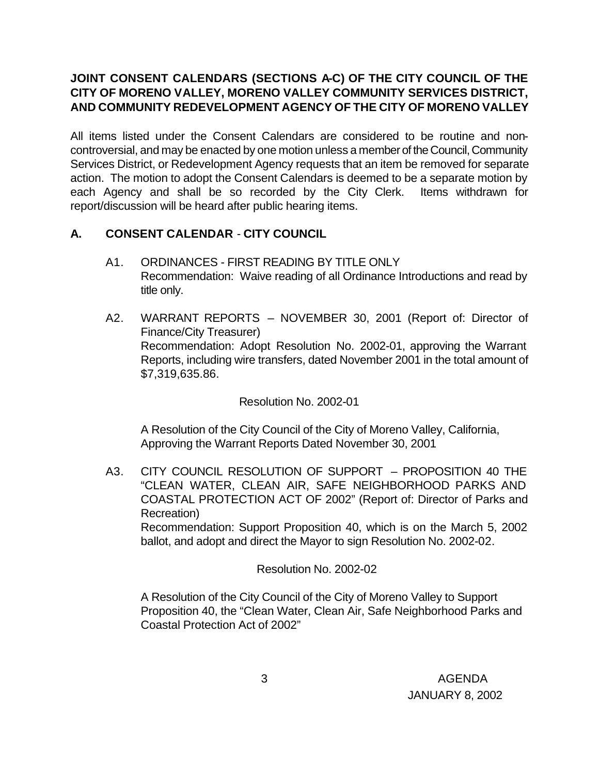## **JOINT CONSENT CALENDARS (SECTIONS A-C) OF THE CITY COUNCIL OF THE CITY OF MORENO VALLEY, MORENO VALLEY COMMUNITY SERVICES DISTRICT, AND COMMUNITY REDEVELOPMENT AGENCY OF THE CITY OF MORENO VALLEY**

All items listed under the Consent Calendars are considered to be routine and noncontroversial, and may be enacted by one motion unless a member of the Council, Community Services District, or Redevelopment Agency requests that an item be removed for separate action. The motion to adopt the Consent Calendars is deemed to be a separate motion by each Agency and shall be so recorded by the City Clerk. Items withdrawn for report/discussion will be heard after public hearing items.

### **A. CONSENT CALENDAR** - **CITY COUNCIL**

- A1. ORDINANCES FIRST READING BY TITLE ONLY Recommendation: Waive reading of all Ordinance Introductions and read by title only.
- A2. WARRANT REPORTS NOVEMBER 30, 2001 (Report of: Director of Finance/City Treasurer) Recommendation: Adopt Resolution No. 2002-01, approving the Warrant Reports, including wire transfers, dated November 2001 in the total amount of \$7,319,635.86.

Resolution No. 2002-01

A Resolution of the City Council of the City of Moreno Valley, California, Approving the Warrant Reports Dated November 30, 2001

A3. CITY COUNCIL RESOLUTION OF SUPPORT – PROPOSITION 40 THE "CLEAN WATER, CLEAN AIR, SAFE NEIGHBORHOOD PARKS AND COASTAL PROTECTION ACT OF 2002" (Report of: Director of Parks and Recreation)

Recommendation: Support Proposition 40, which is on the March 5, 2002 ballot, and adopt and direct the Mayor to sign Resolution No. 2002-02.

Resolution No. 2002-02

A Resolution of the City Council of the City of Moreno Valley to Support Proposition 40, the "Clean Water, Clean Air, Safe Neighborhood Parks and Coastal Protection Act of 2002"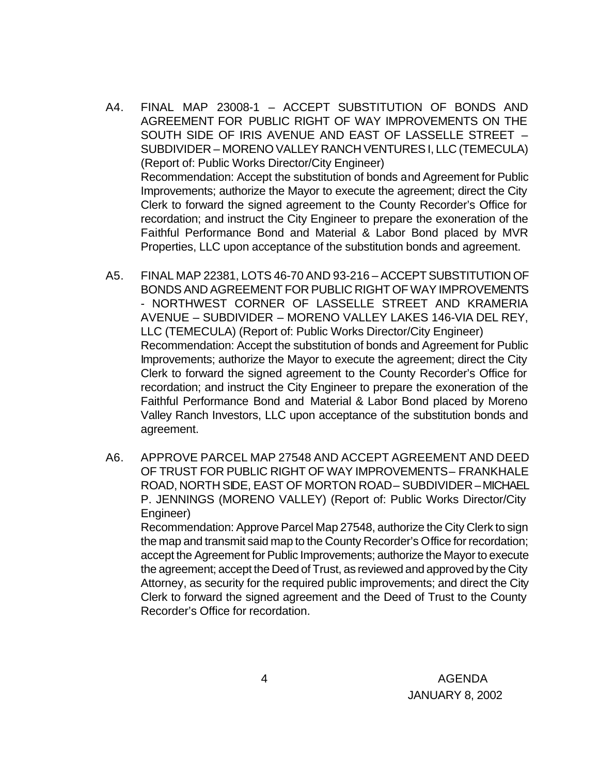- A4. FINAL MAP 23008-1 ACCEPT SUBSTITUTION OF BONDS AND AGREEMENT FOR PUBLIC RIGHT OF WAY IMPROVEMENTS ON THE SOUTH SIDE OF IRIS AVENUE AND EAST OF LASSELLE STREET – SUBDIVIDER – MORENO VALLEY RANCH VENTURES I, LLC (TEMECULA) (Report of: Public Works Director/City Engineer) Recommendation: Accept the substitution of bonds and Agreement for Public Improvements; authorize the Mayor to execute the agreement; direct the City Clerk to forward the signed agreement to the County Recorder's Office for recordation; and instruct the City Engineer to prepare the exoneration of the Faithful Performance Bond and Material & Labor Bond placed by MVR Properties, LLC upon acceptance of the substitution bonds and agreement.
- A5. FINAL MAP 22381, LOTS 46-70 AND 93-216 ACCEPT SUBSTITUTION OF BONDS AND AGREEMENT FOR PUBLIC RIGHT OF WAY IMPROVEMENTS - NORTHWEST CORNER OF LASSELLE STREET AND KRAMERIA AVENUE – SUBDIVIDER – MORENO VALLEY LAKES 146-VIA DEL REY, LLC (TEMECULA) (Report of: Public Works Director/City Engineer) Recommendation: Accept the substitution of bonds and Agreement for Public Improvements; authorize the Mayor to execute the agreement; direct the City Clerk to forward the signed agreement to the County Recorder's Office for recordation; and instruct the City Engineer to prepare the exoneration of the Faithful Performance Bond and Material & Labor Bond placed by Moreno Valley Ranch Investors, LLC upon acceptance of the substitution bonds and agreement.
- A6. APPROVE PARCEL MAP 27548 AND ACCEPT AGREEMENT AND DEED OF TRUST FOR PUBLIC RIGHT OF WAY IMPROVEMENTS – FRANKHALE ROAD, NORTH SIDE, EAST OF MORTON ROAD – SUBDIVIDER – MICHAEL P. JENNINGS (MORENO VALLEY) (Report of: Public Works Director/City Engineer)

Recommendation: Approve Parcel Map 27548, authorize the City Clerk to sign the map and transmit said map to the County Recorder's Office for recordation; accept the Agreement for Public Improvements; authorize the Mayor to execute the agreement; accept the Deed of Trust, as reviewed and approved by the City Attorney, as security for the required public improvements; and direct the City Clerk to forward the signed agreement and the Deed of Trust to the County Recorder's Office for recordation.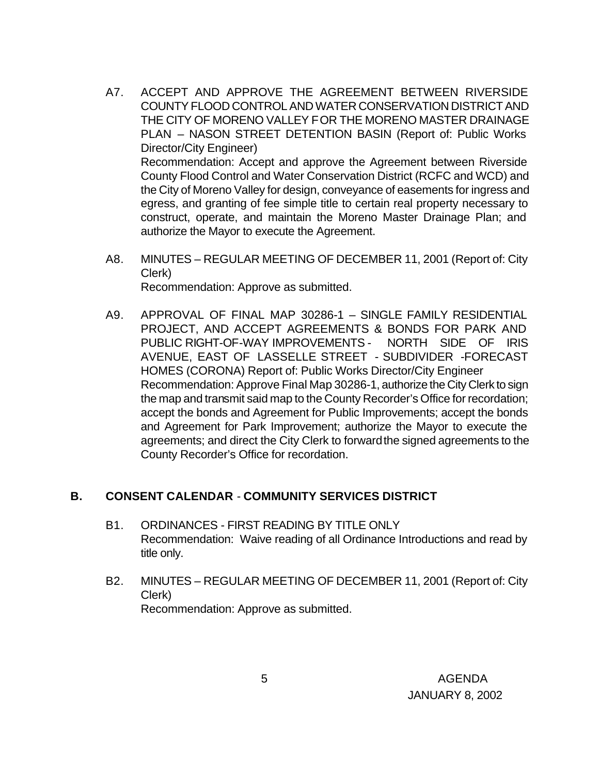- A7. ACCEPT AND APPROVE THE AGREEMENT BETWEEN RIVERSIDE COUNTY FLOOD CONTROL AND WATER CONSERVATION DISTRICT AND THE CITY OF MORENO VALLEY FOR THE MORENO MASTER DRAINAGE PLAN – NASON STREET DETENTION BASIN (Report of: Public Works Director/City Engineer) Recommendation: Accept and approve the Agreement between Riverside County Flood Control and Water Conservation District (RCFC and WCD) and the City of Moreno Valley for design, conveyance of easements for ingress and egress, and granting of fee simple title to certain real property necessary to construct, operate, and maintain the Moreno Master Drainage Plan; and authorize the Mayor to execute the Agreement.
- A8. MINUTES REGULAR MEETING OF DECEMBER 11, 2001 (Report of: City Clerk) Recommendation: Approve as submitted.
- A9. APPROVAL OF FINAL MAP 30286-1 SINGLE FAMILY RESIDENTIAL PROJECT, AND ACCEPT AGREEMENTS & BONDS FOR PARK AND PUBLIC RIGHT-OF-WAY IMPROVEMENTS - NORTH SIDE OF IRIS AVENUE, EAST OF LASSELLE STREET - SUBDIVIDER -FORECAST HOMES (CORONA) Report of: Public Works Director/City Engineer Recommendation: Approve Final Map 30286-1, authorize the City Clerk to sign the map and transmit said map to the County Recorder's Office for recordation; accept the bonds and Agreement for Public Improvements; accept the bonds and Agreement for Park Improvement; authorize the Mayor to execute the agreements; and direct the City Clerk to forward the signed agreements to the County Recorder's Office for recordation.

#### **B. CONSENT CALENDAR** - **COMMUNITY SERVICES DISTRICT**

- B1. ORDINANCES FIRST READING BY TITLE ONLY Recommendation: Waive reading of all Ordinance Introductions and read by title only.
- B2. MINUTES REGULAR MEETING OF DECEMBER 11, 2001 (Report of: City Clerk) Recommendation: Approve as submitted.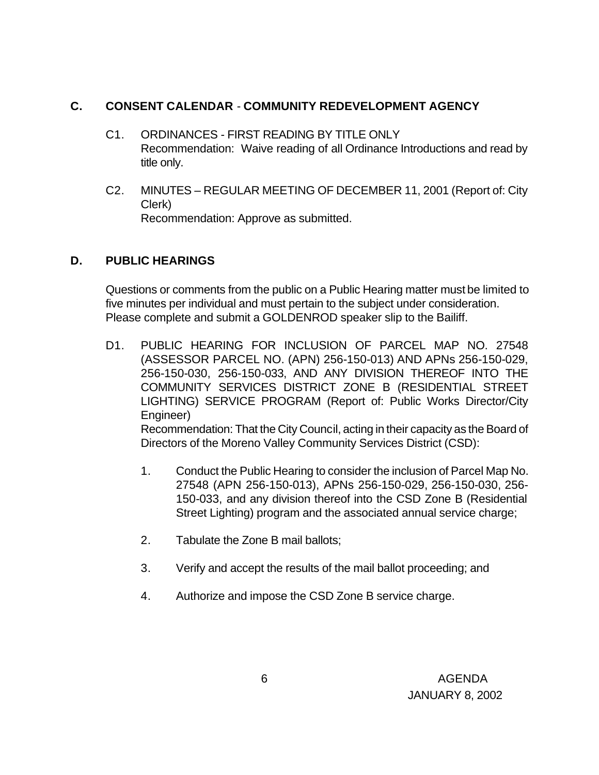#### **C. CONSENT CALENDAR** - **COMMUNITY REDEVELOPMENT AGENCY**

- C1. ORDINANCES FIRST READING BY TITLE ONLY Recommendation: Waive reading of all Ordinance Introductions and read by title only.
- C2. MINUTES REGULAR MEETING OF DECEMBER 11, 2001 (Report of: City Clerk) Recommendation: Approve as submitted.

#### **D. PUBLIC HEARINGS**

Questions or comments from the public on a Public Hearing matter must be limited to five minutes per individual and must pertain to the subject under consideration. Please complete and submit a GOLDENROD speaker slip to the Bailiff.

- D1. PUBLIC HEARING FOR INCLUSION OF PARCEL MAP NO. 27548 (ASSESSOR PARCEL NO. (APN) 256-150-013) AND APNs 256-150-029, 256-150-030, 256-150-033, AND ANY DIVISION THEREOF INTO THE COMMUNITY SERVICES DISTRICT ZONE B (RESIDENTIAL STREET LIGHTING) SERVICE PROGRAM (Report of: Public Works Director/City Engineer) Recommendation: That the City Council, acting in their capacity as the Board of Directors of the Moreno Valley Community Services District (CSD):
	- 1. Conduct the Public Hearing to consider the inclusion of Parcel Map No. 27548 (APN 256-150-013), APNs 256-150-029, 256-150-030, 256- 150-033, and any division thereof into the CSD Zone B (Residential Street Lighting) program and the associated annual service charge;
	- 2. Tabulate the Zone B mail ballots;
	- 3. Verify and accept the results of the mail ballot proceeding; and
	- 4. Authorize and impose the CSD Zone B service charge.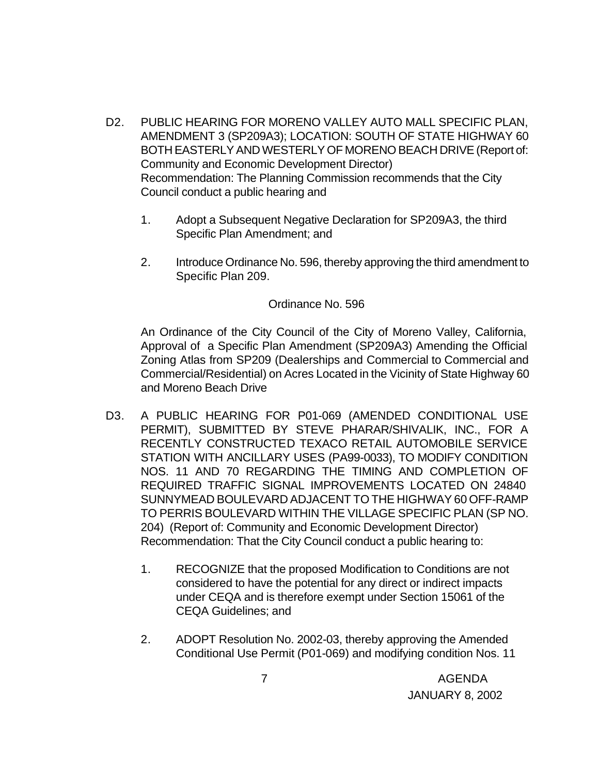- D2. PUBLIC HEARING FOR MORENO VALLEY AUTO MALL SPECIFIC PLAN, AMENDMENT 3 (SP209A3); LOCATION: SOUTH OF STATE HIGHWAY 60 BOTH EASTERLY AND WESTERLY OF MORENO BEACH DRIVE (Report of: Community and Economic Development Director) Recommendation: The Planning Commission recommends that the City Council conduct a public hearing and
	- 1. Adopt a Subsequent Negative Declaration for SP209A3, the third Specific Plan Amendment; and
	- 2. Introduce Ordinance No. 596, thereby approving the third amendment to Specific Plan 209.

#### Ordinance No. 596

An Ordinance of the City Council of the City of Moreno Valley, California, Approval of a Specific Plan Amendment (SP209A3) Amending the Official Zoning Atlas from SP209 (Dealerships and Commercial to Commercial and Commercial/Residential) on Acres Located in the Vicinity of State Highway 60 and Moreno Beach Drive

- D3. A PUBLIC HEARING FOR P01-069 (AMENDED CONDITIONAL USE PERMIT), SUBMITTED BY STEVE PHARAR/SHIVALIK, INC., FOR A RECENTLY CONSTRUCTED TEXACO RETAIL AUTOMOBILE SERVICE STATION WITH ANCILLARY USES (PA99-0033), TO MODIFY CONDITION NOS. 11 AND 70 REGARDING THE TIMING AND COMPLETION OF REQUIRED TRAFFIC SIGNAL IMPROVEMENTS LOCATED ON 24840 SUNNYMEAD BOULEVARD ADJACENT TO THE HIGHWAY 60 OFF-RAMP TO PERRIS BOULEVARD WITHIN THE VILLAGE SPECIFIC PLAN (SP NO. 204) (Report of: Community and Economic Development Director) Recommendation: That the City Council conduct a public hearing to:
	- 1. RECOGNIZE that the proposed Modification to Conditions are not considered to have the potential for any direct or indirect impacts under CEQA and is therefore exempt under Section 15061 of the CEQA Guidelines; and
	- 2. ADOPT Resolution No. 2002-03, thereby approving the Amended Conditional Use Permit (P01-069) and modifying condition Nos. 11

 7 AGENDA JANUARY 8, 2002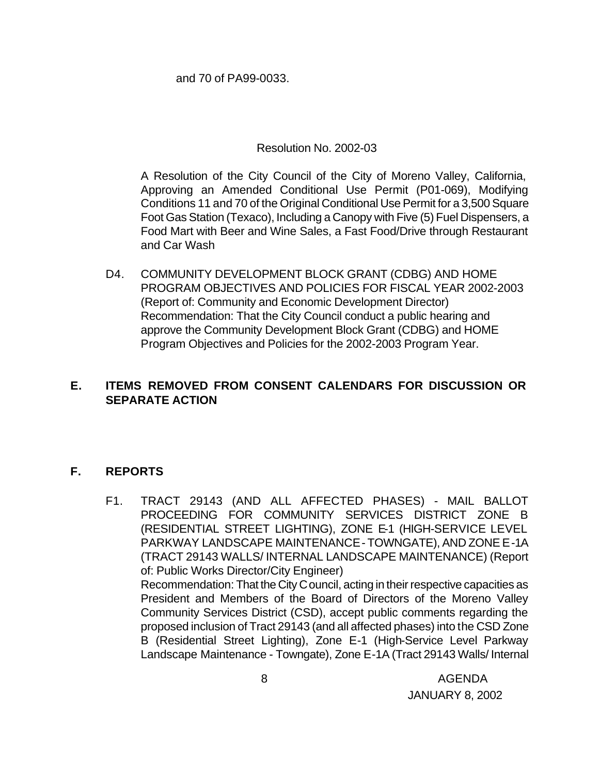and 70 of PA99-0033.

Resolution No. 2002-03

A Resolution of the City Council of the City of Moreno Valley, California, Approving an Amended Conditional Use Permit (P01-069), Modifying Conditions 11 and 70 of the Original Conditional Use Permit for a 3,500 Square Foot Gas Station (Texaco), Including a Canopy with Five (5) Fuel Dispensers, a Food Mart with Beer and Wine Sales, a Fast Food/Drive through Restaurant and Car Wash

D4. COMMUNITY DEVELOPMENT BLOCK GRANT (CDBG) AND HOME PROGRAM OBJECTIVES AND POLICIES FOR FISCAL YEAR 2002-2003 (Report of: Community and Economic Development Director) Recommendation: That the City Council conduct a public hearing and approve the Community Development Block Grant (CDBG) and HOME Program Objectives and Policies for the 2002-2003 Program Year.

### **E. ITEMS REMOVED FROM CONSENT CALENDARS FOR DISCUSSION OR SEPARATE ACTION**

#### **F. REPORTS**

F1. TRACT 29143 (AND ALL AFFECTED PHASES) - MAIL BALLOT PROCEEDING FOR COMMUNITY SERVICES DISTRICT ZONE B (RESIDENTIAL STREET LIGHTING), ZONE E-1 (HIGH-SERVICE LEVEL PARKWAY LANDSCAPE MAINTENANCE - TOWNGATE), AND ZONE E-1A (TRACT 29143 WALLS/ INTERNAL LANDSCAPE MAINTENANCE) (Report of: Public Works Director/City Engineer) Recommendation: That the City Council, acting in their respective capacities as President and Members of the Board of Directors of the Moreno Valley Community Services District (CSD), accept public comments regarding the proposed inclusion of Tract 29143 (and all affected phases) into the CSD Zone B (Residential Street Lighting), Zone E-1 (High-Service Level Parkway Landscape Maintenance - Towngate), Zone E-1A (Tract 29143 Walls/ Internal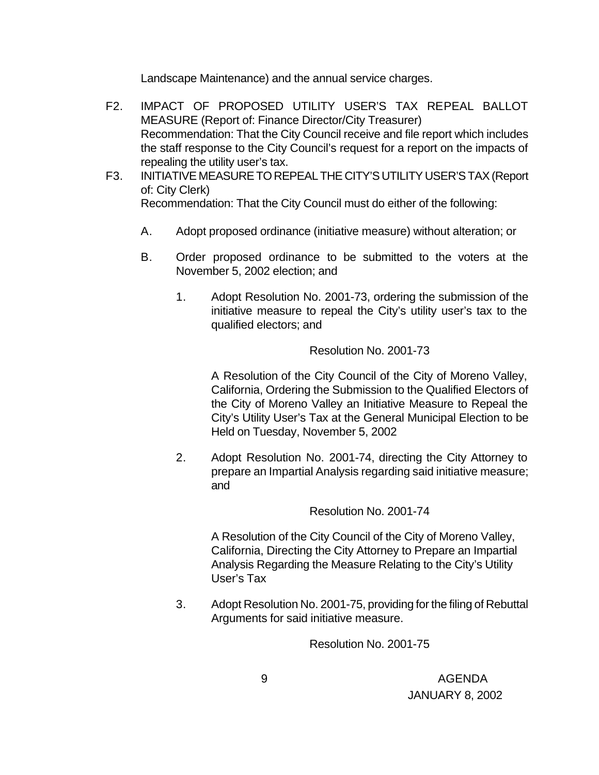Landscape Maintenance) and the annual service charges.

- F2. IMPACT OF PROPOSED UTILITY USER'S TAX REPEAL BALLOT MEASURE (Report of: Finance Director/City Treasurer) Recommendation: That the City Council receive and file report which includes the staff response to the City Council's request for a report on the impacts of repealing the utility user's tax.
- F3. INITIATIVE MEASURE TO REPEAL THE CITY'S UTILITY USER'S TAX (Report of: City Clerk) Recommendation: That the City Council must do either of the following:
	- A. Adopt proposed ordinance (initiative measure) without alteration; or
	- B. Order proposed ordinance to be submitted to the voters at the November 5, 2002 election; and
		- 1. Adopt Resolution No. 2001-73, ordering the submission of the initiative measure to repeal the City's utility user's tax to the qualified electors; and

Resolution No. 2001-73

A Resolution of the City Council of the City of Moreno Valley, California, Ordering the Submission to the Qualified Electors of the City of Moreno Valley an Initiative Measure to Repeal the City's Utility User's Tax at the General Municipal Election to be Held on Tuesday, November 5, 2002

2. Adopt Resolution No. 2001-74, directing the City Attorney to prepare an Impartial Analysis regarding said initiative measure; and

Resolution No. 2001-74

A Resolution of the City Council of the City of Moreno Valley, California, Directing the City Attorney to Prepare an Impartial Analysis Regarding the Measure Relating to the City's Utility User's Tax

3. Adopt Resolution No. 2001-75, providing for the filing of Rebuttal Arguments for said initiative measure.

Resolution No. 2001-75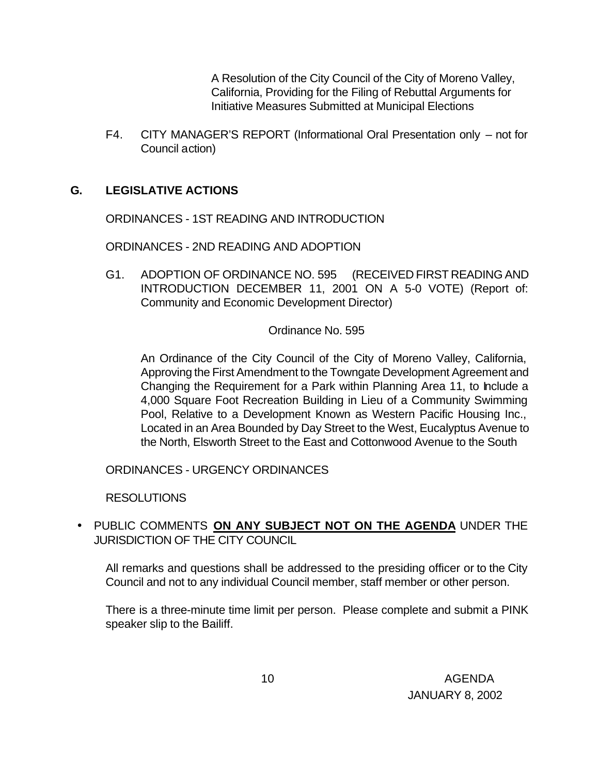A Resolution of the City Council of the City of Moreno Valley, California, Providing for the Filing of Rebuttal Arguments for Initiative Measures Submitted at Municipal Elections

F4. CITY MANAGER'S REPORT (Informational Oral Presentation only – not for Council action)

### **G. LEGISLATIVE ACTIONS**

ORDINANCES - 1ST READING AND INTRODUCTION

ORDINANCES - 2ND READING AND ADOPTION

G1. ADOPTION OF ORDINANCE NO. 595 (RECEIVED FIRST READING AND INTRODUCTION DECEMBER 11, 2001 ON A 5-0 VOTE) (Report of: Community and Economic Development Director)

Ordinance No. 595

An Ordinance of the City Council of the City of Moreno Valley, California, Approving the First Amendment to the Towngate Development Agreement and Changing the Requirement for a Park within Planning Area 11, to Include a 4,000 Square Foot Recreation Building in Lieu of a Community Swimming Pool, Relative to a Development Known as Western Pacific Housing Inc., Located in an Area Bounded by Day Street to the West, Eucalyptus Avenue to the North, Elsworth Street to the East and Cottonwood Avenue to the South

ORDINANCES - URGENCY ORDINANCES

RESOLUTIONS

• PUBLIC COMMENTS **ON ANY SUBJECT NOT ON THE AGENDA** UNDER THE JURISDICTION OF THE CITY COUNCIL

All remarks and questions shall be addressed to the presiding officer or to the City Council and not to any individual Council member, staff member or other person.

There is a three-minute time limit per person. Please complete and submit a PINK speaker slip to the Bailiff.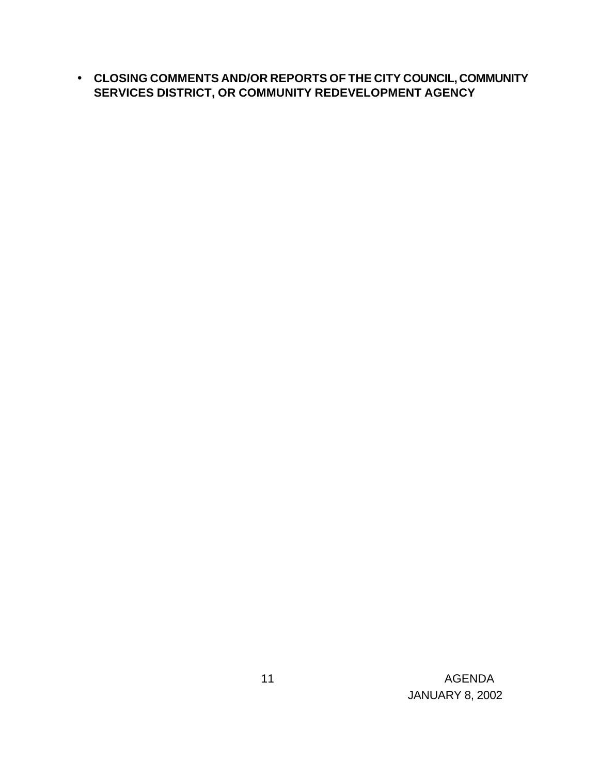• **CLOSING COMMENTS AND/OR REPORTS OF THE CITY COUNCIL, COMMUNITY SERVICES DISTRICT, OR COMMUNITY REDEVELOPMENT AGENCY**